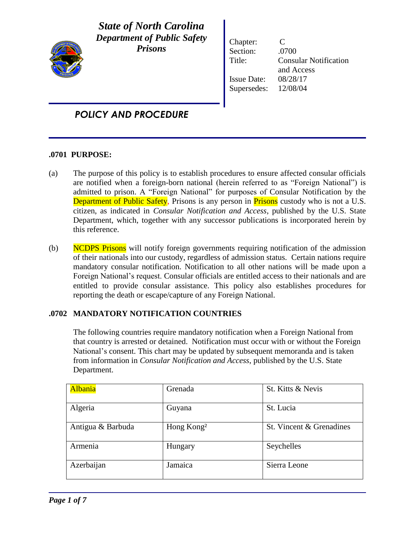

*State of North Carolina Department of Public Safety Prisons*

Chapter: C Section: .0700 Title: Consular Notification and Access Issue Date: 08/28/17 Supersedes: 12/08/04

## *POLICY AND PROCEDURE*

## **.0701 PURPOSE:**

- (a) The purpose of this policy is to establish procedures to ensure affected consular officials are notified when a foreign-born national (herein referred to as "Foreign National") is admitted to prison. A "Foreign National" for purposes of Consular Notification by the Department of Public Safety, Prisons is any person in Prisons custody who is not a U.S. citizen, as indicated in *Consular Notification and Access*, published by the U.S. State Department, which, together with any successor publications is incorporated herein by this reference.
- (b) NCDPS Prisons will notify foreign governments requiring notification of the admission of their nationals into our custody, regardless of admission status. Certain nations require mandatory consular notification. Notification to all other nations will be made upon a Foreign National's request. Consular officials are entitled access to their nationals and are entitled to provide consular assistance. This policy also establishes procedures for reporting the death or escape/capture of any Foreign National.

## **.0702 MANDATORY NOTIFICATION COUNTRIES**

The following countries require mandatory notification when a Foreign National from that country is arrested or detained. Notification must occur with or without the Foreign National's consent. This chart may be updated by subsequent memoranda and is taken from information in *Consular Notification and Access*, published by the U.S. State Department.

| <b>Albania</b>    | Grenada                | St. Kitts & Nevis        |
|-------------------|------------------------|--------------------------|
| Algeria           | Guyana                 | St. Lucia                |
| Antigua & Barbuda | Hong Kong <sup>2</sup> | St. Vincent & Grenadines |
| Armenia           | Hungary                | Seychelles               |
| Azerbaijan        | Jamaica                | Sierra Leone             |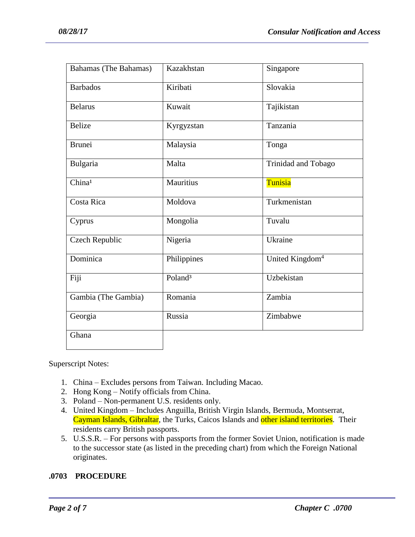| Bahamas (The Bahamas) | Kazakhstan          | Singapore                   |
|-----------------------|---------------------|-----------------------------|
| <b>Barbados</b>       | Kiribati            | Slovakia                    |
| <b>Belarus</b>        | Kuwait              | Tajikistan                  |
| <b>Belize</b>         | Kyrgyzstan          | Tanzania                    |
| <b>Brunei</b>         | Malaysia            | Tonga                       |
| Bulgaria              | Malta               | Trinidad and Tobago         |
| China <sup>1</sup>    | Mauritius           | Tunisia                     |
| Costa Rica            | Moldova             | Turkmenistan                |
| Cyprus                | Mongolia            | Tuvalu                      |
| Czech Republic        | Nigeria             | Ukraine                     |
| Dominica              | Philippines         | United Kingdom <sup>4</sup> |
| Fiji                  | Poland <sup>3</sup> | Uzbekistan                  |
| Gambia (The Gambia)   | Romania             | Zambia                      |
| Georgia               | Russia              | Zimbabwe                    |
| Ghana                 |                     |                             |

Superscript Notes:

- 1. China Excludes persons from Taiwan. Including Macao.
- 2. Hong Kong Notify officials from China.
- 3. Poland Non-permanent U.S. residents only.
- 4. United Kingdom Includes Anguilla, British Virgin Islands, Bermuda, Montserrat, Cayman Islands, Gibraltar, the Turks, Caicos Islands and other island territories. Their residents carry British passports.
- 5. U.S.S.R. For persons with passports from the former Soviet Union, notification is made to the successor state (as listed in the preceding chart) from which the Foreign National originates.

## **.0703 PROCEDURE**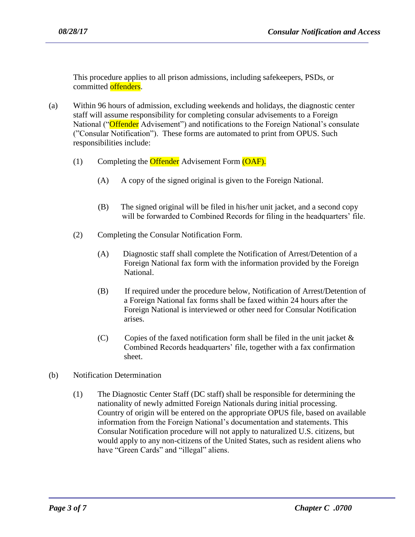This procedure applies to all prison admissions, including safekeepers, PSDs, or committed offenders.

- (a) Within 96 hours of admission, excluding weekends and holidays, the diagnostic center staff will assume responsibility for completing consular advisements to a Foreign National ("Offender Advisement") and notifications to the Foreign National's consulate ("Consular Notification"). These forms are automated to print from OPUS. Such responsibilities include:
	- (1) Completing the **Offender** Advisement Form (OAF).
		- (A) A copy of the signed original is given to the Foreign National.
		- (B) The signed original will be filed in his/her unit jacket, and a second copy will be forwarded to Combined Records for filing in the headquarters' file.
	- (2) Completing the Consular Notification Form.
		- (A) Diagnostic staff shall complete the Notification of Arrest/Detention of a Foreign National fax form with the information provided by the Foreign National.
		- (B) If required under the procedure below, Notification of Arrest/Detention of a Foreign National fax forms shall be faxed within 24 hours after the Foreign National is interviewed or other need for Consular Notification arises.
		- (C) Copies of the faxed notification form shall be filed in the unit jacket  $\&$  Combined Records headquarters' file, together with a fax confirmation sheet.
- (b) Notification Determination
	- (1) The Diagnostic Center Staff (DC staff) shall be responsible for determining the nationality of newly admitted Foreign Nationals during initial processing. Country of origin will be entered on the appropriate OPUS file, based on available information from the Foreign National's documentation and statements. This Consular Notification procedure will not apply to naturalized U.S. citizens, but would apply to any non-citizens of the United States, such as resident aliens who have "Green Cards" and "illegal" aliens.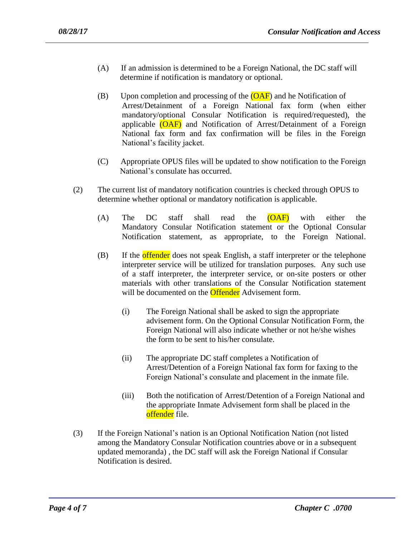- (A) If an admission is determined to be a Foreign National, the DC staff will determine if notification is mandatory or optional.
- (B) Upon completion and processing of the  $(OAF)$  and he Notification of Arrest/Detainment of a Foreign National fax form (when either mandatory/optional Consular Notification is required/requested), the applicable (OAF) and Notification of Arrest/Detainment of a Foreign National fax form and fax confirmation will be files in the Foreign National's facility jacket.
- (C) Appropriate OPUS files will be updated to show notification to the Foreign National's consulate has occurred.
- (2) The current list of mandatory notification countries is checked through OPUS to determine whether optional or mandatory notification is applicable.
	- (A) The DC staff shall read the (OAF) with either the Mandatory Consular Notification statement or the Optional Consular Notification statement, as appropriate, to the Foreign National.
	- (B) If the **offender** does not speak English, a staff interpreter or the telephone interpreter service will be utilized for translation purposes. Any such use of a staff interpreter, the interpreter service, or on-site posters or other materials with other translations of the Consular Notification statement will be documented on the **Offender** Advisement form.
		- (i) The Foreign National shall be asked to sign the appropriate advisement form. On the Optional Consular Notification Form, the Foreign National will also indicate whether or not he/she wishes the form to be sent to his/her consulate.
		- (ii) The appropriate DC staff completes a Notification of Arrest/Detention of a Foreign National fax form for faxing to the Foreign National's consulate and placement in the inmate file.
		- (iii) Both the notification of Arrest/Detention of a Foreign National and the appropriate Inmate Advisement form shall be placed in the offender file.
- (3) If the Foreign National's nation is an Optional Notification Nation (not listed among the Mandatory Consular Notification countries above or in a subsequent updated memoranda) , the DC staff will ask the Foreign National if Consular Notification is desired.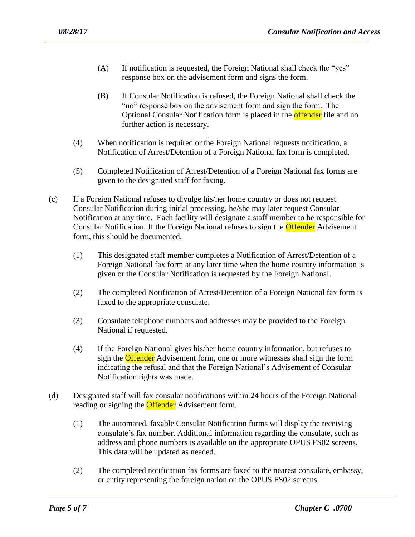- (A) If notification is requested, the Foreign National shall check the "yes" response box on the advisement form and signs the form.
- (B) If Consular Notification is refused, the Foreign National shall check the "no" response box on the advisement form and sign the form. The Optional Consular Notification form is placed in the **offender** file and no further action is necessary.
- (4) When notification is required or the Foreign National requests notification, a Notification of Arrest/Detention of a Foreign National fax form is completed.
- (5) Completed Notification of Arrest/Detention of a Foreign National fax forms are given to the designated staff for faxing.
- (c) If a Foreign National refuses to divulge his/her home country or does not request Consular Notification during initial processing, he/she may later request Consular Notification at any time. Each facility will designate a staff member to be responsible for Consular Notification. If the Foreign National refuses to sign the **Offender** Advisement form, this should be documented.
	- (1) This designated staff member completes a Notification of Arrest/Detention of a Foreign National fax form at any later time when the home country information is given or the Consular Notification is requested by the Foreign National.
	- (2) The completed Notification of Arrest/Detention of a Foreign National fax form is faxed to the appropriate consulate.
	- (3) Consulate telephone numbers and addresses may be provided to the Foreign National if requested.
	- (4) If the Foreign National gives his/her home country information, but refuses to sign the **Offender** Advisement form, one or more witnesses shall sign the form indicating the refusal and that the Foreign National's Advisement of Consular Notification rights was made.
- (d) Designated staff will fax consular notifications within 24 hours of the Foreign National reading or signing the **Offender** Advisement form.
	- (1) The automated, faxable Consular Notification forms will display the receiving consulate's fax number. Additional information regarding the consulate, such as address and phone numbers is available on the appropriate OPUS FS02 screens. This data will be updated as needed.
	- (2) The completed notification fax forms are faxed to the nearest consulate, embassy, or entity representing the foreign nation on the OPUS FS02 screens.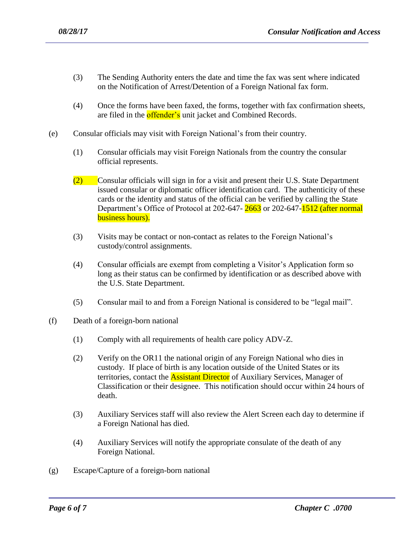- (3) The Sending Authority enters the date and time the fax was sent where indicated on the Notification of Arrest/Detention of a Foreign National fax form.
- (4) Once the forms have been faxed, the forms, together with fax confirmation sheets, are filed in the **offender's** unit jacket and Combined Records.
- (e) Consular officials may visit with Foreign National's from their country.
	- (1) Consular officials may visit Foreign Nationals from the country the consular official represents.
	- (2) Consular officials will sign in for a visit and present their U.S. State Department issued consular or diplomatic officer identification card. The authenticity of these cards or the identity and status of the official can be verified by calling the State Department's Office of Protocol at 202-647- 2663 or 202-647-1512 (after normal business hours).
	- (3) Visits may be contact or non-contact as relates to the Foreign National's custody/control assignments.
	- (4) Consular officials are exempt from completing a Visitor's Application form so long as their status can be confirmed by identification or as described above with the U.S. State Department.
	- (5) Consular mail to and from a Foreign National is considered to be "legal mail".
- (f) Death of a foreign-born national
	- (1) Comply with all requirements of health care policy ADV-Z.
	- (2) Verify on the OR11 the national origin of any Foreign National who dies in custody. If place of birth is any location outside of the United States or its territories, contact the **Assistant Director** of Auxiliary Services, Manager of Classification or their designee. This notification should occur within 24 hours of death.
	- (3) Auxiliary Services staff will also review the Alert Screen each day to determine if a Foreign National has died.
	- (4) Auxiliary Services will notify the appropriate consulate of the death of any Foreign National.

(g) Escape/Capture of a foreign-born national